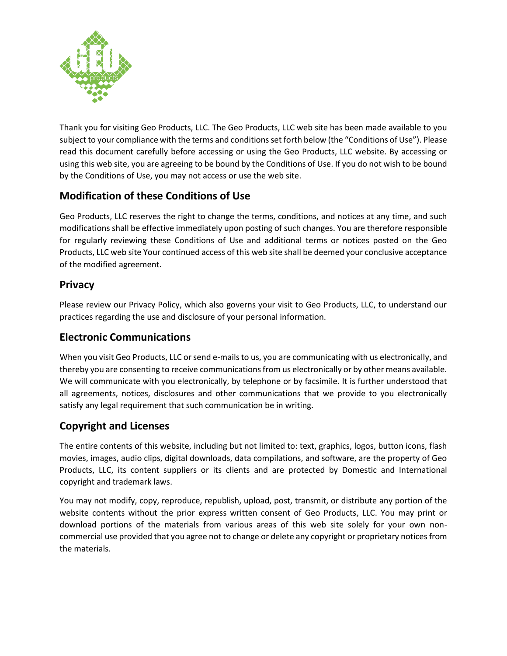

Thank you for visiting Geo Products, LLC. The Geo Products, LLC web site has been made available to you subject to your compliance with the terms and conditions set forth below (the "Conditions of Use"). Please read this document carefully before accessing or using the Geo Products, LLC website. By accessing or using this web site, you are agreeing to be bound by the Conditions of Use. If you do not wish to be bound by the Conditions of Use, you may not access or use the web site.

# **Modification of these Conditions of Use**

Geo Products, LLC reserves the right to change the terms, conditions, and notices at any time, and such modifications shall be effective immediately upon posting of such changes. You are therefore responsible for regularly reviewing these Conditions of Use and additional terms or notices posted on the Geo Products, LLC web site Your continued access of this web site shall be deemed your conclusive acceptance of the modified agreement.

#### **Privacy**

Please review our Privacy Policy, which also governs your visit to Geo Products, LLC, to understand our practices regarding the use and disclosure of your personal information.

#### **Electronic Communications**

When you visit Geo Products, LLC or send e-mails to us, you are communicating with us electronically, and thereby you are consenting to receive communications from us electronically or by other means available. We will communicate with you electronically, by telephone or by facsimile. It is further understood that all agreements, notices, disclosures and other communications that we provide to you electronically satisfy any legal requirement that such communication be in writing.

## **Copyright and Licenses**

The entire contents of this website, including but not limited to: text, graphics, logos, button icons, flash movies, images, audio clips, digital downloads, data compilations, and software, are the property of Geo Products, LLC, its content suppliers or its clients and are protected by Domestic and International copyright and trademark laws.

You may not modify, copy, reproduce, republish, upload, post, transmit, or distribute any portion of the website contents without the prior express written consent of Geo Products, LLC. You may print or download portions of the materials from various areas of this web site solely for your own noncommercial use provided that you agree not to change or delete any copyright or proprietary notices from the materials.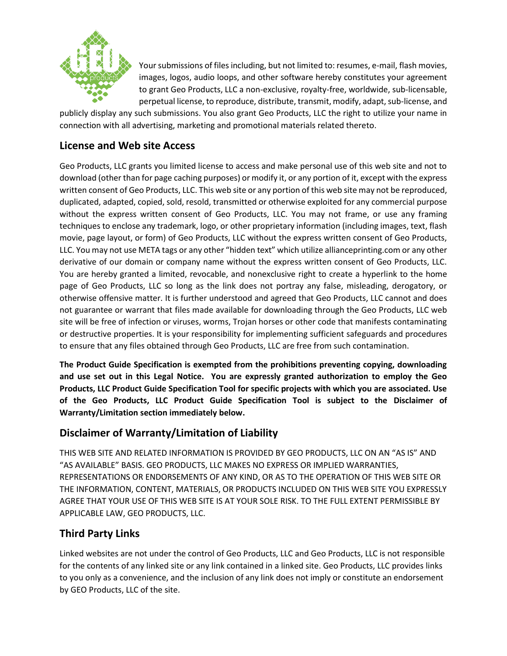

Your submissions of files including, but not limited to: resumes, e-mail, flash movies, images, logos, audio loops, and other software hereby constitutes your agreement to grant Geo Products, LLC a non-exclusive, royalty-free, worldwide, sub-licensable, perpetual license, to reproduce, distribute, transmit, modify, adapt, sub-license, and

publicly display any such submissions. You also grant Geo Products, LLC the right to utilize your name in connection with all advertising, marketing and promotional materials related thereto.

#### **License and Web site Access**

Geo Products, LLC grants you limited license to access and make personal use of this web site and not to download (other than for page caching purposes) or modify it, or any portion of it, except with the express written consent of Geo Products, LLC. This web site or any portion of this web site may not be reproduced, duplicated, adapted, copied, sold, resold, transmitted or otherwise exploited for any commercial purpose without the express written consent of Geo Products, LLC. You may not frame, or use any framing techniques to enclose any trademark, logo, or other proprietary information (including images, text, flash movie, page layout, or form) of Geo Products, LLC without the express written consent of Geo Products, LLC. You may not use META tags or any other "hidden text" which utilize allianceprinting.com or any other derivative of our domain or company name without the express written consent of Geo Products, LLC. You are hereby granted a limited, revocable, and nonexclusive right to create a hyperlink to the home page of Geo Products, LLC so long as the link does not portray any false, misleading, derogatory, or otherwise offensive matter. It is further understood and agreed that Geo Products, LLC cannot and does not guarantee or warrant that files made available for downloading through the Geo Products, LLC web site will be free of infection or viruses, worms, Trojan horses or other code that manifests contaminating or destructive properties. It is your responsibility for implementing sufficient safeguards and procedures to ensure that any files obtained through Geo Products, LLC are free from such contamination.

**The Product Guide Specification is exempted from the prohibitions preventing copying, downloading and use set out in this Legal Notice. You are expressly granted authorization to employ the Geo Products, LLC Product Guide Specification Tool for specific projects with which you are associated. Use of the Geo Products, LLC Product Guide Specification Tool is subject to the Disclaimer of Warranty/Limitation section immediately below.**

## **Disclaimer of Warranty/Limitation of Liability**

THIS WEB SITE AND RELATED INFORMATION IS PROVIDED BY GEO PRODUCTS, LLC ON AN "AS IS" AND "AS AVAILABLE" BASIS. GEO PRODUCTS, LLC MAKES NO EXPRESS OR IMPLIED WARRANTIES, REPRESENTATIONS OR ENDORSEMENTS OF ANY KIND, OR AS TO THE OPERATION OF THIS WEB SITE OR THE INFORMATION, CONTENT, MATERIALS, OR PRODUCTS INCLUDED ON THIS WEB SITE YOU EXPRESSLY AGREE THAT YOUR USE OF THIS WEB SITE IS AT YOUR SOLE RISK. TO THE FULL EXTENT PERMISSIBLE BY APPLICABLE LAW, GEO PRODUCTS, LLC.

## **Third Party Links**

Linked websites are not under the control of Geo Products, LLC and Geo Products, LLC is not responsible for the contents of any linked site or any link contained in a linked site. Geo Products, LLC provides links to you only as a convenience, and the inclusion of any link does not imply or constitute an endorsement by GEO Products, LLC of the site.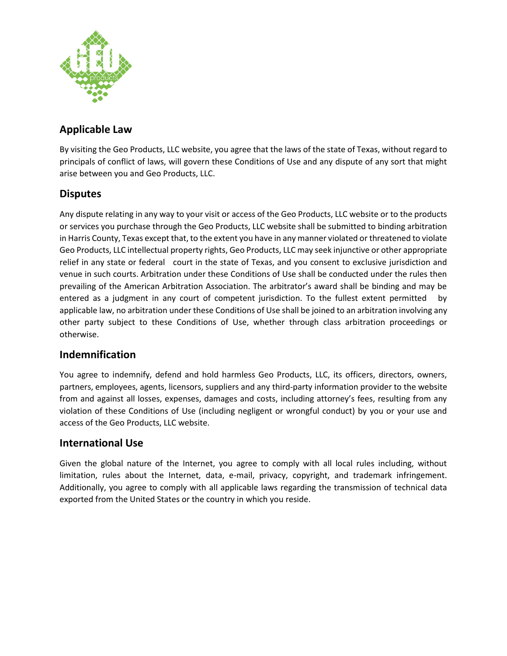

## **Applicable Law**

By visiting the Geo Products, LLC website, you agree that the laws of the state of Texas, without regard to principals of conflict of laws, will govern these Conditions of Use and any dispute of any sort that might arise between you and Geo Products, LLC.

## **Disputes**

Any dispute relating in any way to your visit or access of the Geo Products, LLC website or to the products or services you purchase through the Geo Products, LLC website shall be submitted to binding arbitration in Harris County, Texas except that, to the extent you have in any manner violated or threatened to violate Geo Products, LLC intellectual property rights, Geo Products, LLC may seek injunctive or other appropriate relief in any state or federal court in the state of Texas, and you consent to exclusive jurisdiction and venue in such courts. Arbitration under these Conditions of Use shall be conducted under the rules then prevailing of the American Arbitration Association. The arbitrator's award shall be binding and may be entered as a judgment in any court of competent jurisdiction. To the fullest extent permitted by applicable law, no arbitration under these Conditions of Use shall be joined to an arbitration involving any other party subject to these Conditions of Use, whether through class arbitration proceedings or otherwise.

#### **Indemnification**

You agree to indemnify, defend and hold harmless Geo Products, LLC, its officers, directors, owners, partners, employees, agents, licensors, suppliers and any third-party information provider to the website from and against all losses, expenses, damages and costs, including attorney's fees, resulting from any violation of these Conditions of Use (including negligent or wrongful conduct) by you or your use and access of the Geo Products, LLC website.

#### **International Use**

Given the global nature of the Internet, you agree to comply with all local rules including, without limitation, rules about the Internet, data, e-mail, privacy, copyright, and trademark infringement. Additionally, you agree to comply with all applicable laws regarding the transmission of technical data exported from the United States or the country in which you reside.